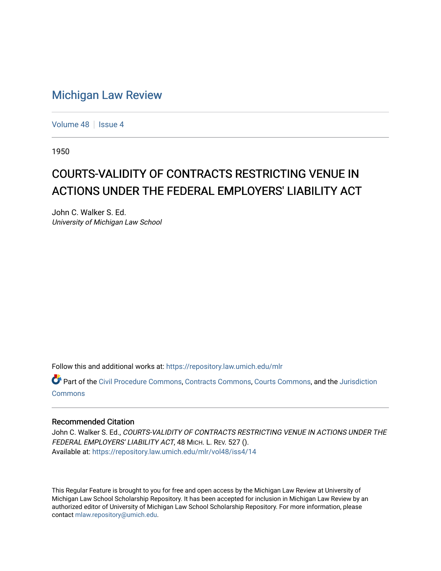## [Michigan Law Review](https://repository.law.umich.edu/mlr)

[Volume 48](https://repository.law.umich.edu/mlr/vol48) | [Issue 4](https://repository.law.umich.edu/mlr/vol48/iss4)

1950

## COURTS-VALIDITY OF CONTRACTS RESTRICTING VENUE IN ACTIONS UNDER THE FEDERAL EMPLOYERS' LIABILITY ACT

John C. Walker S. Ed. University of Michigan Law School

Follow this and additional works at: [https://repository.law.umich.edu/mlr](https://repository.law.umich.edu/mlr?utm_source=repository.law.umich.edu%2Fmlr%2Fvol48%2Fiss4%2F14&utm_medium=PDF&utm_campaign=PDFCoverPages) 

Part of the [Civil Procedure Commons,](http://network.bepress.com/hgg/discipline/584?utm_source=repository.law.umich.edu%2Fmlr%2Fvol48%2Fiss4%2F14&utm_medium=PDF&utm_campaign=PDFCoverPages) [Contracts Commons,](http://network.bepress.com/hgg/discipline/591?utm_source=repository.law.umich.edu%2Fmlr%2Fvol48%2Fiss4%2F14&utm_medium=PDF&utm_campaign=PDFCoverPages) [Courts Commons,](http://network.bepress.com/hgg/discipline/839?utm_source=repository.law.umich.edu%2Fmlr%2Fvol48%2Fiss4%2F14&utm_medium=PDF&utm_campaign=PDFCoverPages) and the [Jurisdiction](http://network.bepress.com/hgg/discipline/850?utm_source=repository.law.umich.edu%2Fmlr%2Fvol48%2Fiss4%2F14&utm_medium=PDF&utm_campaign=PDFCoverPages)  [Commons](http://network.bepress.com/hgg/discipline/850?utm_source=repository.law.umich.edu%2Fmlr%2Fvol48%2Fiss4%2F14&utm_medium=PDF&utm_campaign=PDFCoverPages)

## Recommended Citation

John C. Walker S. Ed., COURTS-VALIDITY OF CONTRACTS RESTRICTING VENUE IN ACTIONS UNDER THE FEDERAL EMPLOYERS' LIABILITY ACT, 48 MICH. L. REV. 527 (). Available at: [https://repository.law.umich.edu/mlr/vol48/iss4/14](https://repository.law.umich.edu/mlr/vol48/iss4/14?utm_source=repository.law.umich.edu%2Fmlr%2Fvol48%2Fiss4%2F14&utm_medium=PDF&utm_campaign=PDFCoverPages) 

This Regular Feature is brought to you for free and open access by the Michigan Law Review at University of Michigan Law School Scholarship Repository. It has been accepted for inclusion in Michigan Law Review by an authorized editor of University of Michigan Law School Scholarship Repository. For more information, please contact [mlaw.repository@umich.edu](mailto:mlaw.repository@umich.edu).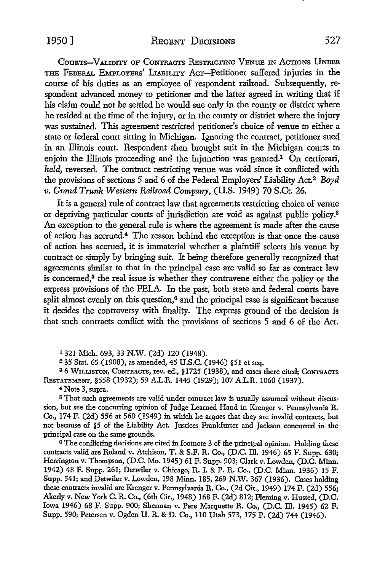COURTS-VALIDITY OF CONTRACTS RESTRICTING VENUE IN ACTIONS UNDER THE FEDERAL EMPLOYERS' LIABILITY ACT-Petitioner suffered injuries in the course of his duties as an employee of respondent railroad. Subsequently, respondent advanced money to petitioner and the latter agreed in writing that if his claim could not be settled he would sue only in the county or district where he resided at the time of the injury, or in the county or district where the injury was sustained. This agreement restricted petitioner's choice of venue to either a state or federal court sitting in Michigan. Ignoring the contract, petitioner sued in an Illinois court. Respondent then brought suit in the Michigan courts to enjoin the Illinois proceeding and the injunction was granted.<sup>1</sup> On certiorari, *held*, reversed. The contract restricting venue was void since it conflicted with the provisions of sections 5 and 6 of the Federal Employers' Liability Act.2 *Boyd v. Grand Trunk Western Railroad Company,* (U.S. 1949) 70 S.Ct. 26.

It is a general rule of contract law that agreements restricting choice of venue or depriving particular courts of jurisdiction are void as against public policy.<sup>3</sup> An exception to the general rule is where the agreement is made after the cause of action has accrued.<sup>4</sup> The reason behind the exception is that once the cause of action has accrued, it is immaterial whether a plaintiff selects his venue by contract or simply by bringing suit. It being therefore generally recognized that agreements similar to that in the principal case are valid so far as contract law is concerned,<sup>5</sup> the real issue is whether they contravene either the policy or the express provisions of the FELA. In the past, both state and federal courts have split almost evenly on this question, $6$  and the principal case is significant because it decides the controversy with finality. The express ground of the decision is that such contracts conffict with the provisions of sections 5 and 6 of the Act.

1 321 Mich. 693, 33 N.W. (2d) 120 (1948).

<sup>2</sup>35 Stat. 65 (1908), as amended, 45 U.S.C. (1946) §51 et seq.

<sup>3</sup>6 WILLISTON, CoNTRAars, rev. ed., §1725 (1938), and cases there cited; CoNTRACTS RESTATEMENT, §558 (1932); 59 A.L.R. 1445 (1929); 107 A.L.R. 1060 (1937).

4 Note 3, supra.

<sup>5</sup>That such agreements are valid under contract law is usually assumed without discus• sion, but see the concurring opinion of Judge Learned Hand in Krenger v. Pennsylvania R. Co., 174 F. (2d) 556 at 560 (1949) in which he argues that they are invalid contracts, but not because of §5 of the Liability Act. Justices Frankfurter and Jackson concurred in the principal case on the same grounds.

<sup>6</sup>The conllicting decisions are cited in footnote 3 of the principal opinion. Holding these contracts valid are Roland v. Atchison, T. & S.F. R. Co., (D.C. ID. 1946) 65 F. Supp. 630; Herrington v. Thompson, (D.C. Mo. 1945) 61 F. Supp. 903; Clark v. Lowden, (D.C. Minn. 1942) 48 F. Supp. 261; Detwiler v. Chicago, R. I. & P. R. Co., (D.C. Minn. 1936) 15 F. Supp. 541; and Detwiler v. Lowden, 198 Minn. 185, 269 N.W. 367 (1936). Cases holding these contracts invalid are Krenger v. Pennsylvania R. Co., (2d Cir., 1949) 174 F. (2d) 556; Akerly v. New York C.R. Co., (6th Cir., 1948) 168 F. (2d) 812; Fleming v. Husted, (D.C. Iowa 1946) 68 F. Supp. 900; Sherman v. Pere Marquette R. Co., (D.C. ID. 1945) 62 F. Supp. 590; Petersen v. Ogden U. R. & D. Co., 110 Utah 573, 175 P. (2d) 744 (1946).